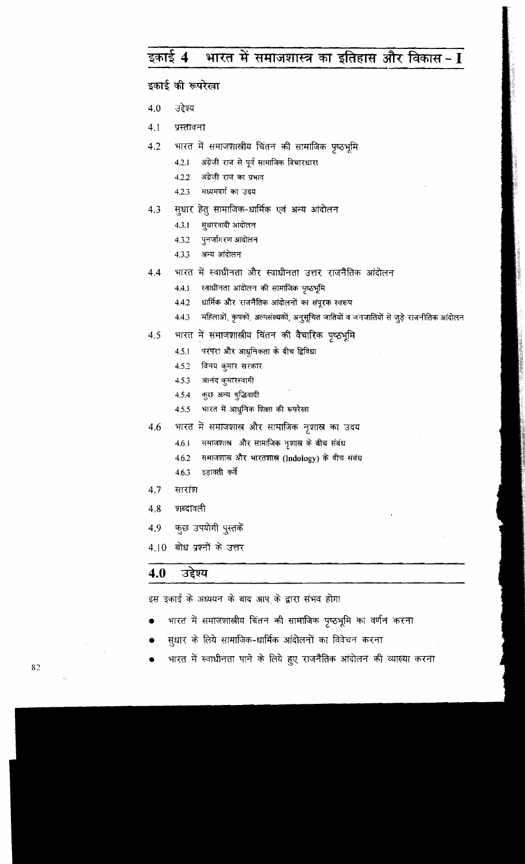## भारत में समाजशास्त्र का इतिहास और विकास- I डकाई 4

इकाई की रूपरेखा

उद्देश्य  $4.0$ 

 $4.1$ प्रस्तावना

- भारत में समाजशास्त्रीय चिंतन की सामाजिक पृष्ठभूमि 4.2
	- अंग्रेजी राज से पूर्व सामाजिक विचारधारा  $4.2.1$
	- $4.2.2$ अंग्रेजी राज का प्रभाव
	- मध्यमवर्ग का उदय  $4.2.3$
- सुधार हेतु सामाजिक-धार्मिक एवं अन्य आंदोलन  $4.3$ 
	- सुधारवादी आंदोलन  $4.3.1$
	- पनर्जागरण आंदोलन 4.3.2
	- अन्य अंदोलन 4.3.3
- भारत में स्वाधीनता और स्वाधीनता उत्तर राजनैतिक आंदोलन  $4.4$ 
	- स्वाधीनता आंदोलन की सामाजिक पृष्ठभूमि  $4.4.1$
	- धार्मिक और राजनैतिक आंदोलनों का संपूरक स्वरूप 4.4.2
	- महिलाओं, कृषकों, अल्पसंख्यकों, अनुसूचित जातियों व जनजातियों से जुड़े राजनीतिक आंदोलन 4.4.3
- भारत में समाजशास्त्रीय चिंतन की वैचारिक पृष्ठभूमि 4.5
	- परंपरा और आधूनिकता के बीच द्विविधा  $4.5.1$
	- 4.5.2 विनय कुमार सरकार
	- आनंद कुमारस्वामी 4.5.3
	- कुछ अन्य बुद्धिवादी 4.5.4
	- भारत में आधुनिक शिक्षा की रूपरेखा 4.5.5
- भारत में समाजशास्त्र और सामाजिक नृशास्त्र का उदय 4.6
	- समाजशास्त्र और सामाजिक नृशास्त्र के बीच संबंध  $4.6.1$
	- समाजशास्त्र और भारतशास्त्र (Indology) के बीच संबंध 4.6.2
	- इड़ावती कर्वे 463
- 4.7 सारांश
- 4.8 शब्दावली
- कुछ उपयोगी पुस्तकें 4.9
- 4.10 बोध प्रश्नों के उत्तर

#### 4.0 उद्देश्य

इस इकाई के अध्ययन के बाद आप के द्वारा संभव होगा

- भारत में समाजशास्त्रीय चिंतन की सामाजिक पृष्ठभूमि का वर्णन करना
- सुधार के लिये सामाजिक-धार्मिक आंदोलनों का विवेचन करना
- भारत में स्वाधीनता पाने के लिये हुए राजनैतिक आंदोलन की व्याख्या करना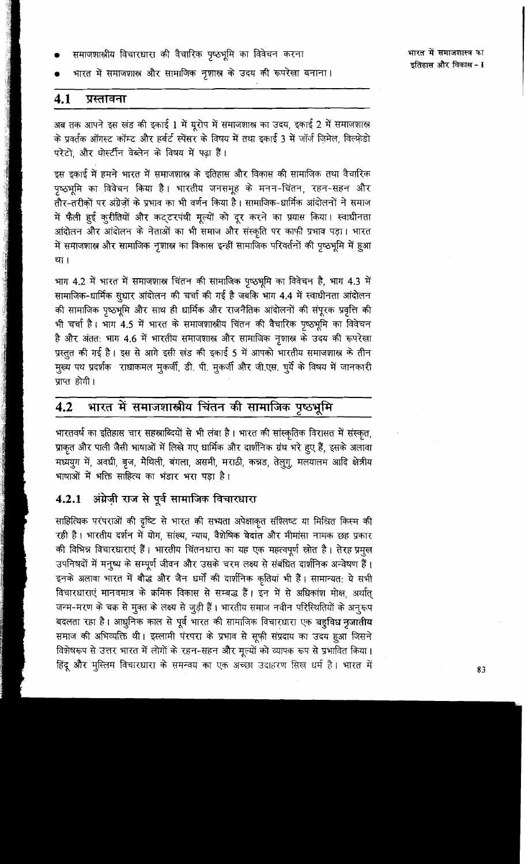समाजशास्त्रीय विचारधारा की वैचारिक पृष्ठभूमि का विवेचन करना

भारत में समाजशास्त्र और सामाजिक नृशास्त्र के उदय की रूपरेखा बनाना।

#### 4.1 प्रस्तावना

अब तक आपने इस खंड की इकाई 1 में यूरोप में समाजशास्त्र का उदय, इकाई 2 में समाजशास्त्र के प्रवर्तक ऑगस्ट कॉम्ट और हर्बर्ट स्पेंसर के विषय में तथा इकाई 3 में जॉर्ज जिमेल, विल्फ्रेडो परेटो. और थोर्स्टीन वेब्लेन के विषय में पढ़ा हैं।

इस इकाई में हमने भारत में समाजशास्त्र के इतिहास और विकास की सामाजिक तथा वैचारिक पृष्ठभूमि का विवेचन किया है। भारतीय जनसमूह के मनन-चिंतन, रहन-सहन और तौर-तरीकों पर अंग्रेजों के प्रभाव का भी वर्णन किया है। सामाजिक-धार्मिक आंदोलनों ने समाज में फैली हुई कुरीतियों और कट्टरपंथी मूल्यों को दूर करने का प्रयास किया। स्वाधीनता आंदोलन और आंदोलन के नेताओं का भी समाज और संस्कृति पर काफी प्रभाव पड़ा। भारत में समाजशास्त्र और सामाजिक नृशास्त्र का विकास इन्हीं सामाजिक परिवर्तनों की पृष्ठभूमि में हूआ था।

भाग 4.2 में भारत में समाजशास्र चिंतन की सामाजिक पृष्ठभूमि का विवेचन है, भाग 4.3 में सामाजिक-धार्मिक सुधार आंदोलन की चर्चा की गई है जबकि भाग 4.4 में स्वाधीनता आंदोलन की सामाजिक पृष्ठभूमि और साथ ही धार्मिक और राजनैतिक आंदोलनों की संपूरक प्रवृत्ति की भी चर्चा है। भाग 4.5 में भारत के समाजशास्त्रीय चिंतन की वैचारिक पृष्ठभूमि का विवेचन है और अंतत: भाग 4.6 में भारतीय समाजशास्त्र और सामाजिक नृशास्त्र के उदय की रूपरेखा प्रस्तुत की गई है। इस से आगे इसी खंड की इकाई 5 में आपको भारतीय समाजशास्त्र के तीन मुख्य पथ प्रदर्शक राधाकमल मुकर्जी, डी. पी. मुकर्जी और जी.एस. घूर्ये के विषय में जानकारी प्राप्त होगी।

## भारत में समाजशास्त्रीय चिंतन की सामाजिक पृष्ठभूमि  $4.2$

भारतवर्ष का इतिहास चार सहस्राब्दियों से भी लंबा है। भारत की सांस्कृतिक विरासत में संस्कृत, प्राकृत और पाली जैसी भाषाओं में लिखे गए धार्मिक और दार्शनिक ग्रंथ भरे हुए हैं, इसके अलावा मध्ययुग में, अवधी, बृज, मैथिली, बंगला, असमी, मराठी, कन्नड, तेलुगू, मलयालम आदि क्षेत्रीय भाषाओं में भक्ति साहित्य का भंडार भरा पड़ा है।

### अंग्रेज़ी राज से पूर्व सामाजिक विचारधारा  $4.2.1$

साहित्यिक परंपराओं की दृष्टि से भारत की सभ्यता अपेक्षाकृत संश्लिष्ट या मिश्रित किस्म की रही है। भारतीय दर्शन में योग, सांख्य, न्याय, वैशेषिक वेदांत और मीमांसा नामक छह प्रकार की विभिन्न विचारधाराएं हैं। भारतीय चिंतनधारा का यह एक महत्वपूर्ण स्रोत है। तेरह प्रमुख उपनिषदों में मनुष्य के सम्पूर्ण जीवन और उसके चरम लक्ष्य से संबंधित दार्शनिक अन्वेषण हैं। इनके अलावा भारत में बौद्ध और जैन धर्मों की दार्शनिक कृतियां भी हैं। सामान्यत: ये सभी विचारधाराएं मानवमात्र के क्रमिक विकास से सम्बद्ध हैं। इन में से अधिकांश मोक्ष, अर्थात् जन्म-मरण के चक्र से मुक्त के लक्ष्य से जुड़ी हैं। भारतीय समाज नवीन परिस्थितियों के अनुरूप बदलता रहा है। आधुनिक काल से पूर्व भारत की सामाजिक विचारधारा एक बहूविध नृजातीय समाज की अभिव्यक्ति थी। इस्लामी पंरपरा के प्रभाव से सूफी संप्रदाय का उदय हूआ जिसने विशेषरूप से उत्तर भारत में लोगों के रहन-सहन और मूल्यों को व्यापक रूप से प्रभावित किया। हिंदू और मुस्लिम विचारधारा के समन्वय का एक अच्छा उदाहरण सिख धर्म है। भारत में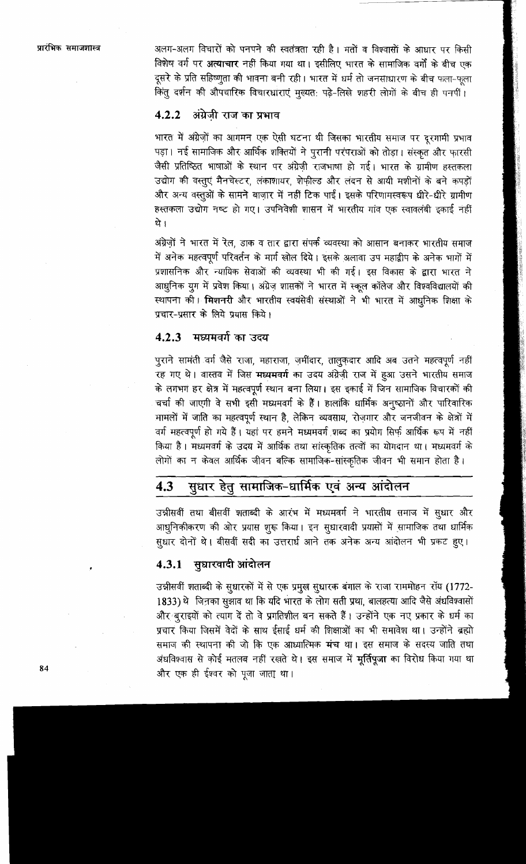अलग-अलग विचारों को पनपने की स्वतंत्रता रही है। मतों व विश्वासों के आधार पर किसी विशेष वर्ग पर अत्याचार नहीं किया गया था। इसीलिए भारत के सामाजिक वर्गों के बीच एक दूसरे के प्रति सहिष्णुता की भावना बनी रही। भारत में धर्म तो जनसाधारण के बीच फला-फला .<br>किंतू दर्शन की औपचारिक विचारधाराएं मुख्यत: पढे-लिखे शहरी लोगों के बीच ही पनपीं।

#### अंग्रेजी राज का प्रभाव  $4.2.2$

भारत में अंग्रेज़ों का आगमन एक ऐसी घटना थी जिसका भारतीय समाज पर दूरगामी प्रभाव पड़ा। नई सामाजिक और आर्थिक शक्तियों ने पुरानी परंपराओं को तोड़ा। संस्कृत और फ़ारसी जैसी प्रतिष्ठित भाषाओं के स्थान पर अंग्रेज़ी राजभाषा हो गई। भारत के ग्रामीण हस्तकला उद्योग की वस्तूएं मैनचेस्टर, लंकाशायर, शेफील्ड और लंदन से आयी मशीनों के बने कपड़ों और अन्य वस्तुओं के सामने बाजार में नहीं टिक पाईं। इसके परिणामस्वरूप धीरे-धीरे ग्रामीण हस्तकला उद्योग नष्ट हो गए। उपनिवेशी शासन में भारतीय गांव एक स्वावलंबी इकाई नहीं थे ।

अंग्रेज़ों ने भारत में रेल, डाक व तार द्वारा संपर्क व्यवस्था को आसान बनाकर भारतीय समाज में अनेक महत्वपूर्ण परिवर्तन के मार्ग खोल दिये। इसके अलावा उप महाद्वीप के अनेक भागों में प्रशासनिक और न्यायिक सेवाओं की व्यवस्था भी की गई। इस विकास के द्वारा भारत ने आधुनिक युग में प्रवेश किया। अंग्रेज़ शासकों ने भारत में स्कूल कॉलेज और विश्वविद्यालयों की स्थापना की। मिशनरी और भारतीय स्वयंसेवी संस्थाओं ने भी भारत में आधुनिक शिक्षा के प्रचार-प्रसार के लिये प्रयास किये।

## 4.2.3 मध्यमवर्ग का उदय

पुराने सामंती वर्ग जैसे राजा, महाराजा, ज़मींदार, तालुक़दार आदि अब उतने महत्वपूर्ण नहीं रह गए थे। वास्तव में जिस मध्यमवर्ग का उदय अंग्रेज़ी राज में हुआ उसने भारतीय समाज के लगभग हर क्षेत्र में महत्वपूर्ण स्थान बना लिया। इस इकाई में जिन सामाजिक विचारकों की चर्चा की जाएगी वे सभी इसी मध्यमवर्ग के हैं। हालांकि धार्मिक अनुष्ठानों और पारिवारिक मामलों में जाति का महत्वपूर्ण स्थान है, लेकिन व्यवसाय, रोज़गार और जनजीवन के क्षेत्रों में वर्ग महत्वपूर्ण हो गये हैं। यहां पर हमने मध्यमवर्ग शब्द का प्रयोग सिर्फ आर्थिक रूप में नहीं किया है। मध्यमवर्ग के उदय में आर्थिक तथा सांस्कृतिक तत्वों का योगदान था। मध्यमवर्ग के लोगों का न केवल आर्थिक जीवन बल्कि सामाजिक-सांस्कृतिक जीवन भी समान होता है।

## सुधार हेतु सामाजिक-धार्मिक एवं अन्य आंदोलन 4.3

उन्नीसवीं तथा बीसवीं शताब्दी के आरंभ में मध्यमवर्ग ने भारतीय समाज में सुधार और आधुनिकीकरण की ओर प्रयास शूरू किया। इन सुधारवादी प्रयासों में सामाजिक तथा धार्मिक सुधार दोनों थे। बीसवीं सदी का उत्तरार्ध आने तक अनेक अन्य आंदोलन भी प्रकट हुए।

# 4.3.1 सुधारवादी आंदोलन

उन्नीसवीं शताब्दी के सुधारकों में से एक प्रमुख सुधारक बंगाल के राजा राममोहन रॉय (1772-1833) थे जिनका सुझाव था कि यदि भारत के लोग सती प्रथा, बालहत्या आदि जैसे अंधविश्वासों और बुराइयों को त्याग दें तो वे प्रगतिशील बन सकते हैं। उन्होंने एक नए प्रकार के धर्म का प्रचार किया जिसमें वेदों के साथ ईसाई धर्म की शिक्षाओं का भी समावेश था। उन्होंने ब्रह्मो समाज की स्थापना की जो कि एक आध्यात्मिक मंच था। इस समाज के सदस्य जाति तथा अंधविश्वास से कोई मतलब नहीं रखते थे। इस समाज में मूर्तिपूजा का विरोध किया गया था और एक ही ईश्वर को पूजा जाता था।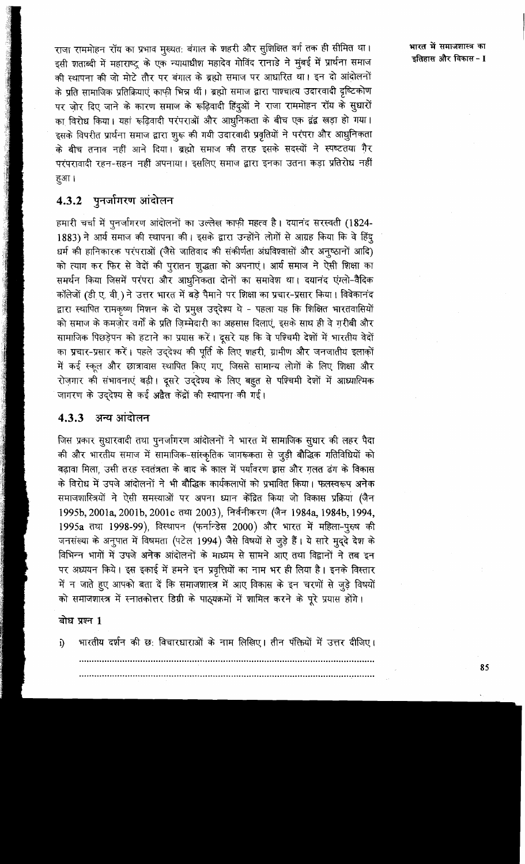राजा राममोहन रॉय का प्रभाव मुख्यत: बंगाल के शहरी और सुशिक्षित वर्ग तक ही सीमित था। इसी शताब्दी में महाराष्ट्र के एक न्यायाधीश महादेव गोविंद रानाडे ने मुंबई में प्रार्थना समाज की स्थापना की जो मोटे तौर पर बंगाल के ब्रह्मो समाज पर आधारित था। इन दो आंदोलनों के प्रति सामाजिक प्रतिक्रियाएं काफी भिन्न थीं। ब्रह्मो समाज द्वारा पाश्चात्य उदारवादी दृष्टिकोण पर जोर दिए जाने के कारण समाज के रूढ़िवादी हिंदुओं ने राजा राममोहन रॉय के सुधारों का विरोध किया। यहां रूढिवादी परंपराओं और आधुनिकता के बीच एक द्वंद्व खड़ा हो गया। इसके विपरीत प्रार्थना समाज द्वारा शुरू की गयी उदारवादी प्रवृतियों ने परंपरा और आधुनिकता के बीच तनाव नहीं आने दिया। ब्रह्मो समाज की तरह इसके सदस्यों ने स्पष्टतया गैर परंपरावादी रहन-सहन नहीं अपनाया। इसलिए समाज द्वारा इनका उतना कड़ा प्रतिरोध नहीं हुआ।

# 4.3.2 पुनर्जागरण आंदोलन

हमारी चर्चा में पुनर्जागरण आंदोलनों का उल्लेख काफी महत्व है। दयानंद सरस्वती (1824-1883) ने आर्य समाज की स्थापना की। इसके द्वारा उन्होंने लोगों से आग्रह किया कि वे हिंदू धर्म की हानिकारक परंपराओं (जैसे जातिवाद की संकीर्णता अंधविश्वासों और अनुष्ठानों आदि) को त्याग कर फिर से वेदों की पुरातन शुद्धता को अपनाएं। आर्य समाज ने ऐसी शिक्षा का समर्थन किया जिसमें परंपरा और आधुनिकता दोनों का समावेश था। दयानंद एंग्लो-वैदिक कॉलेजों (डी ए. वी ) ने उत्तर भारत में बड़े पैमाने पर शिक्षा का प्रचार-प्रसार किया। विवेकानंद द्वारा स्थापित रामकृष्ण मिशन के दो प्रमुख उददेश्य थे - पहला यह कि शिक्षित भारतवासियों .<br>को समाज के कमज़ोर वर्गों के प्रति ज़िम्मेदारी का अहसास दिलाएं, इसके साथ ही वे गरीबी और सामाजिक पिछड़ेपन को हटाने का प्रयास करें। दूसरे यह कि वे पश्चिमी देशों में भारतीय वेदों का प्रचार-प्रसार करें। पहले उद्देश्य की पूर्ति के लिए शहरी, ग्रामीण और जनजातीय इलाकों में कई स्कल और छात्रावास स्थापित किए गए. जिससे सामान्य लोगों के लिए शिक्षा और रोज़गार की संभावनाएं बढ़ी। दूसरे उद्देश्य के लिए बहुत से पश्चिमी देशों में आध्यात्मिक जागरण के उददेश्य से कई अद्वैत केंद्रों की स्थापना की गई।

# 4.3.3 अन्य आंदोलन

जिस प्रकार सुधारवादी तथा पुनर्जागरण आंदोलनों ने भारत में सामाजिक सुधार की लहर पैदा की और भारतीय समाज में सामाजिक-सांस्कृतिक जागरूकता से जूड़ी बौद्धिक गतिविधियों को बढ़ावा मिला, उसी तरह स्वतंत्रता के बाद के काल में पर्यावरण द्वास और गलत ढंग के विकास के विरोध में उपजे आंदोलनों ने भी बौद्धिक कार्यकलापों को प्रभावित किया। फलस्वरूप अनेक समाजशास्त्रियों ने ऐसी समस्याओं पर अपना ध्यान केंद्रित किया जो विकास प्रक्रिया (जैन 1995b, 2001a, 2001b, 2001c तथा 2003), निर्वनीकरण (जैन 1984a, 1984b, 1994, 1995а तथा 1998-99), विस्थापन (फर्नान्डेस 2000) और भारत में महिला-पुरुष की जनसंख्या के अनुपात में विषमता (पटेल 1994) जैसे विषयों से जुड़े हैं। ये सारे मुद्दे देश के विभिन्न भागों में उपजे अनेक आंदोलनों के माध्यम से सामने आए तथा विद्वानों ने तब इन पर अध्ययन किये। इस इकाई में हमने इन प्रवृत्तियों का नाम भर ही लिया है। इनके विस्तार में न जाते हुए आपको बता दें कि समाजशास्त्र में आए विकास के इन चरणों से जुड़े विषयों को समाजशास्त्र में स्नातकोत्तर डिग्री के पाठ्यक्रमों में शामिल करने के पूरे प्रयास होंगे।

## बोध प्रश्न 1

भारतीय दर्शन की छ: विचारधाराओं के नाम लिखिए। तीन पंक्तियों में उत्तर दीजिए।  $\hat{p}$ 

भारत में समाजशास्त्र का <u> इतिहास और विकास - I</u>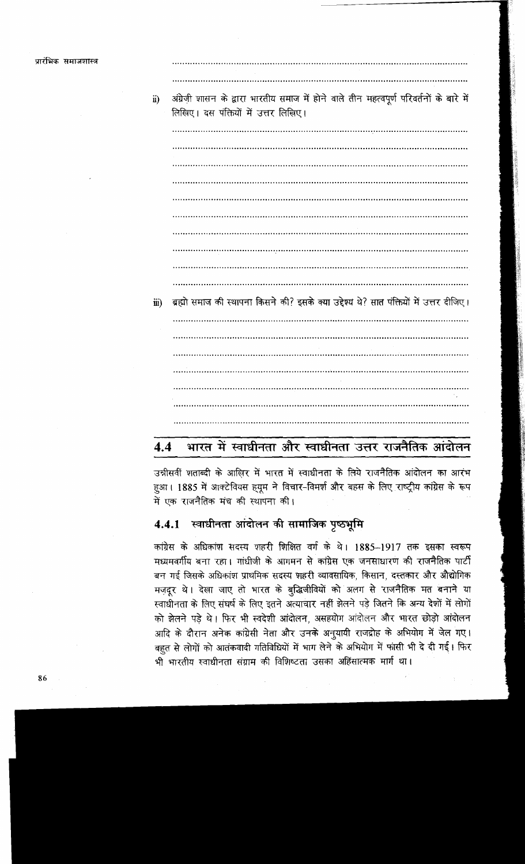| $\ddot{u}$ | अंग्रेज़ी शासन के द्वारा भारतीय समाज में होने वाले तीन महत्वपूर्ण परिवर्तनों के बारे में<br>लिखिए। दस पंक्तियों में उत्तर लिखिए। |
|------------|----------------------------------------------------------------------------------------------------------------------------------|
|            |                                                                                                                                  |
|            |                                                                                                                                  |
|            | .                                                                                                                                |
|            |                                                                                                                                  |
|            |                                                                                                                                  |
|            |                                                                                                                                  |
|            |                                                                                                                                  |
|            |                                                                                                                                  |
|            |                                                                                                                                  |
|            |                                                                                                                                  |
| iii)       | ब्रह्मो समाज की स्थापना किसने की? इसके क्या उद्देश्य थे? सात पंक्तियों में उत्तर दीजिए।                                          |
|            |                                                                                                                                  |
|            |                                                                                                                                  |
|            |                                                                                                                                  |
|            |                                                                                                                                  |
|            |                                                                                                                                  |
|            |                                                                                                                                  |
|            |                                                                                                                                  |

### भारत में स्वाधीनता और स्वाधीनता उत्तर राजनैतिक आंदोलन  $4.4$

उन्नीसवीं शताब्दी के आखिर में भारत में स्वाधीनता के लिये राजनैतिक आंदोलन का आरंभ हूआ। 1885 में आक्टेवियस ह़यूम ने विचार-विमर्श और बहस के लिए राष्ट्रीय कांग्रेस के रूप में एक राजनैतिक मंच की स्थापना की।

### स्वाधीनता आंदोलन की सामाजिक पृष्ठभूमि  $4.4.1$

कांग्रेस के अधिकांश सदस्य शहरी शिक्षित वर्ग के थे। 1885-1917 तक इसका स्वरूप मध्यमवर्गीय बना रहा। गांधीजी के आगमन से कांग्रेस एक जनसाधारण की राजनैतिक पार्टी बन गई जिसके अधिकांश प्राथमिक सदस्य शहरी व्यावसायिक, किसान, दस्तकार और औद्योगिक मज़दूर थे। देखा जाए तो भारत के बुद्धिजीवियों को अलग से राजनैतिक मत बनाने या स्वाधीनता के लिए संघर्ष के लिए इतने अत्याचार नहीं झेलने पड़े जितने कि अन्य देशों में लोगों को झेलने पड़े थे। फिर भी स्वदेशी आंदोलन, असहयोग आंदोलन और भारत छोड़ो आंदोलन आदि के दौरान अनेक कांग्रेसी नेता और उनके अनुयायी राजद्रोह के अभियोग में जेल गए। बहुत से लोगों को आतंकवादी गतिविधियों में भाग लेने के अभियोग में फांसी भी दे दी गई। फिर भी भारतीय स्वाधीनता संग्राम की विशिष्टता उसका अहिंसात्मक मार्ग था।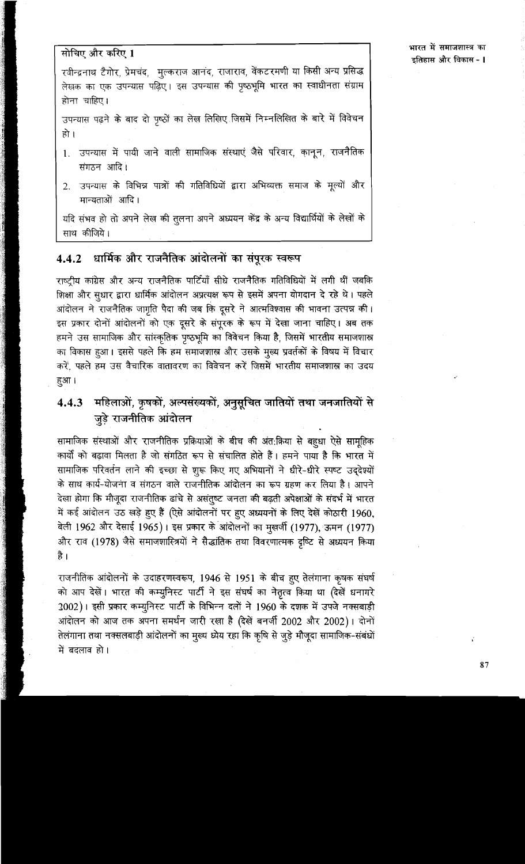## भारत में समाजशास्त्र का इतिहास और विकास - I

# सोचिए और करिए 1

रवीन्द्रनाथ टैगोर, प्रेमचंद, मूल्कराज आनंद, राजाराव, वेंकटरमणी या किसी अन्य प्रसिद्ध लेखक का एक उपन्यास पढ़िए। इस उपन्यास की पृष्ठभूमि भारत का स्वाधीनता संग्राम होना चाहिए।

उपन्यास पढ़ने के बाद दो पृष्ठों का लेख लिखिए जिसमें निम्नलिखित के बारे में विवेचन हो ।

- उपन्यास में पायी जाने वाली सामाजिक संस्थाएं जैसे परिवार, कानून, राजनैतिक  $1<sup>1</sup>$ संगठन आदि।
- उपन्यास के विभिन्न पात्रों की गतिविधियों द्वारा अभिव्यक्त समाज के मूल्यों और  $2.$ मान्यताओं आदि।

यदि संभव हो तो अपने लेख की तुलना अपने अध्ययन केंद्र के अन्य विद्यार्थियों के लेखों के साथ कीजिये।

### धार्मिक और राजनैतिक आंदोलनों का संपूरक स्वरूप  $4.4.2$

राष्ट्रीय कांग्रेस और अन्य राजनैतिक पार्टियाँ सीधे राजनैतिक गतिविधियों में लगी थीं जबकि शिक्षा और सुधार द्वारा धार्मिक आंदोलन अप्रत्यक्ष रूप से इसमें अपना योगदान दे रहे थे। पहले आंदोलन ने राजनैतिक जागृति पैदा की जब कि दूसरे ने आत्मविश्वास की भावना उत्पन्न की। इस प्रकार दोनों आंदोलनों को एक दूसरे के संपुरक के रूप में देखा जाना चाहिए। अब तक हमने उस सामाजिक और सांस्कृतिक पृष्ठभूमि का विवेचन किया है, जिसमें भारतीय समाजशास्त्र का विकास हुआ। इससे पहले कि हम समाजशास्त्र और उसके मुख्य प्रवर्तकों के विषय में विचार करें. पहले हम उस वैचारिक वातावरण का विवेचन करें जिसमें भारतीय समाजशास्त्र का उदय हुआ।

महिलाओं, कृषकों, अल्पसंख्यकों, अनुसूचित जातियों तथा जनजातियों से  $4.4.3$ जुड़े राजनीतिक आंदोलन

सामाजिक संस्थाओं और राजनीतिक प्रक्रियाओं के बीच की अंत:क्रिया से बहुधा ऐसे सामूहिक कार्यों को बढ़ावा मिलता है जो संगठित रूप से संचालित होते हैं। हमने पाया है कि भारत में सामाजिक परिवर्तन लाने की इच्छा से शूरू किए गए अभियानों ने धीरे-धीरे स्पष्ट उद्देश्यों के साथ कार्य-योजना व संगठन वाले राजनीतिक आंदोलन का रूप ग्रहण कर लिया है। आपने देखा होगा कि मौजूदा राजनीतिक ढांचे से असंतूष्ट जनता की बढ़ती अपेक्षाओं के संदर्भ में भारत में कई आंदोलन उठ खड़े हुए हैं (ऐसे आंदोलनों पर हुए अध्ययनों के लिए देखें कोठारी 1960, बेली 1962 और देसाई 1965)। इस प्रकार के आंदोलनों का मुखर्जी (1977), ऊमन (1977) और राव (1978) जैसे समाजशास्त्रियों ने सैद्धांतिक तथा विवरणात्मक दृष्टि से अध्ययन किया है।

राजनीतिक आंदोलनों के उदाहरणस्वरूप, 1946 से 1951 के बीच हुए तेलंगाना कृषक संघर्ष को आप देखें। भारत की कम्युनिस्ट पार्टी ने इस संघर्ष का नेतृत्व किया था (देखें धनागरे 2002)। इसी प्रकार कम्युनिस्ट पार्टी के विभिन्न दलों ने 1960 के दशक में उपजे नक्सबाड़ी आंदोलन को आज तक अपना समर्थन जारी रखा है (देखें बनर्जी 2002 और 2002)। दोनों तेलंगाना तथा नक्सलबाड़ी आंदोलनों का मुख्य ध्येय रहा कि कृषि से जुड़े मौजूदा सामाजिक-संबंधों में बदलाव हो।

l.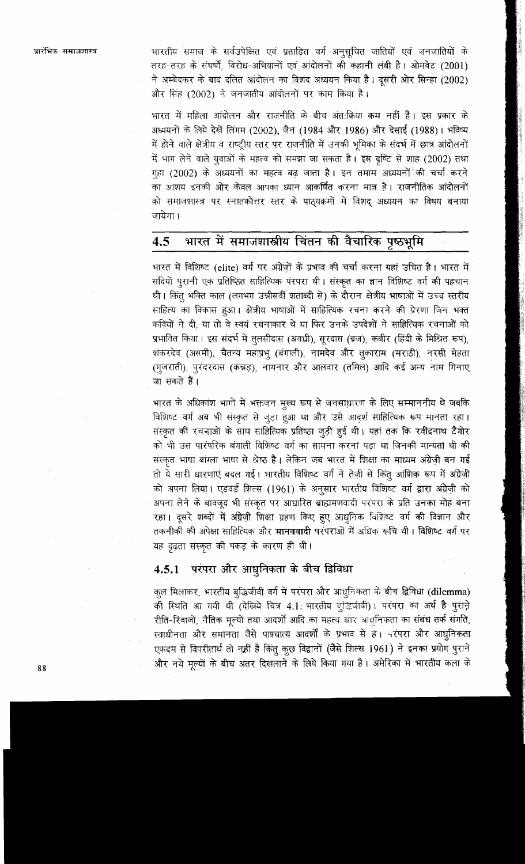भारतीय समाज के सर्वउपेक्षित एवं प्रताडित वर्ग अनुसूचित जातियों एवं जनजातियों के तरह-तरह के संघर्षों, विरोध-अभियानों एवं आंदोलनों की कहानी लंबी है। ओमवेट (2001) ने अम्बेदकर के बाद दलित आंदोलन का विशद अध्ययन किया है। दूसरी ओर सिन्हा (2002) और सिंह (2002) ने जनजातीय आंदोलनों पर काम किया है।

भारत में महिला आंदोलन और राजनीति के बीच अंत:क्रिया कम नहीं है। इस प्रकार के अध्ययनों के लिये देखें लिंगम (2002), जैन (1984 और 1986) और देसाई (1988)। भविष्य में होने वाले क्षेत्रीय व राष्ट्रीय स्तर पर राजनीति में उनकी भूमिका के संदर्भ में छात्र आंदोलनों में भाग लेने वाले यूवाओं के महत्व को समझा जा सकता है। इस दृष्टि से शाह (2002) तथा गृहा (2002) के अध्ययनों का महत्व बढ़ जाता है। इन तमाम अध्ययनों की चर्चा करने का आशय इनकी ओर केवल आपका ध्यान आकर्षित करना मात्र है। राजनीतिक आंदोलनों को समाजशास्त्र पर स्नातकोत्तर स्तर के पाठ्यक्रमों में विशद अध्ययन का विषय बनाया जायेगा।

## भारत में समाजशास्त्रीय चिंतन की वैचारिक पृष्ठभूमि  $4.5^{\circ}$

भारत में विशिष्ट (elite) वर्ग पर अंग्रेजों के प्रभाव की चर्चा करना यहां उचित है। भारत में सदियों पूरानी एक प्रतिष्ठित साहित्यिक पंरपरा थी। संस्कृत का ज्ञान विशिष्ट बर्ग की पहचान थी। किंतु भक्ति काल (लगभग उन्नीसवीं शताब्दी से) के दौरान क्षेत्रीय भाषाओं में उच्च स्तरीय साहित्य का विकास हुआ। क्षेत्रीय भाषाओं में साहित्यिक रचना करने की प्रेरणा जिन भक्त कवियों ने दी, या तो वे स्वयं रचनाकार थे या फिर उनके उपदेशों ने साहित्यिक रचनाओं को प्रभावित किया। इस संदर्भ में तुलसीदास (अवधी), सूरदास (ब्रज), कबीर (हिंदी के मिश्रित रूप), शंकरदेव (असमी), चैतन्य महाप्रभु (बंगाली), नामदेव और तुकाराम (मराठी), नरसी मेहता (गुजराती), पुरंदरदास (कन्नड़), नायनार और आलवार (तमिल) आदि कई अन्य नाम गिनाएं जा सकते हैं।

भारत के अधिकांश भागों में भक्तजन मुख्य रूप से जनसाधारण के लिए सम्माननीय थे जबकि विशिष्ट वर्ग अब भी संस्कृत से जूड़ा हुआ था और उसे आदर्श साहित्यिक रूप मानता रहा। संस्कृत की रचनाओं के साथ साहित्यिक प्रतिष्ठा जुड़ी हुई थी। यहां तक कि रवींद्रनाथ टैगोर को भी उस पारंपरिक बंगाली विशिष्ट वर्ग का सामना करना पड़ा था जिनकी मान्यता थी की संस्कृत भाषा बांग्ला भाषा से श्रेष्ठ है। लेकिन जब भारत में शिक्षा का माध्यम अंग्रेज़ी बन गई तो ये सारी धारणाएं बदल गई। भारतीय विशिष्ट वर्ग ने तेजी से किंतू आंशिक रूप में अंग्रेज़ी को अपना लिया। एडवर्ड शिल्स (1961) के अनुसार भारतीय विशिष्ट वर्ग द्वारा अंग्रेज़ी को अपना लेने के बावजूद भी संस्कृत पर आधारित ब्राह्ममणवादी परंपरा के प्रति उनका मोह बना रहा। दूसरे शब्दों में अंग्रेज़ी शिक्षा ग्रहण किए हुए आधुनिक विशिष्ट वर्ग की विज्ञान और तकनीकी की अपेक्षा साहित्यिक और मानववादी परंपराओं में अधिक रूचि थी। विशिष्ट वर्ग पर यह दृढ़ता संस्कृत की पकड़ के कारण ही थी।

# 4.5.1 परंपरा और आधुनिकता के बीच द्विविधा

कूल मिलाकर, भारतीय बुद्धिजीवी वर्ग में परंपरा और आंधूनिकता के बीच द्विविधा (dilemma) की स्थिति आ गयी थी (देखिये चित्र 4.1: भारतीय लुद्धिजीवी)। परंपरा का अर्थ है पुराने रीति-रिवाजों, नैतिक मूल्यों तथा आदर्शो आदि का महत्व और आधुनिकता का संबंध तर्क संगति, स्वाधीनता और समानता जैसे पाश्चात्य आदर्शों के प्रभाव से है। परंपरा और आधुनिकता एकदम से विपरीतार्थ तो नहीं हैं किंतु कुछ विद्वानों (जैसे शिल्स 1961) ने इनका प्रयोग पुराने और नये मूल्यों के बीच अंतर दिखलाने के लिये किया गया है। अमेरिका में भारतीय कला के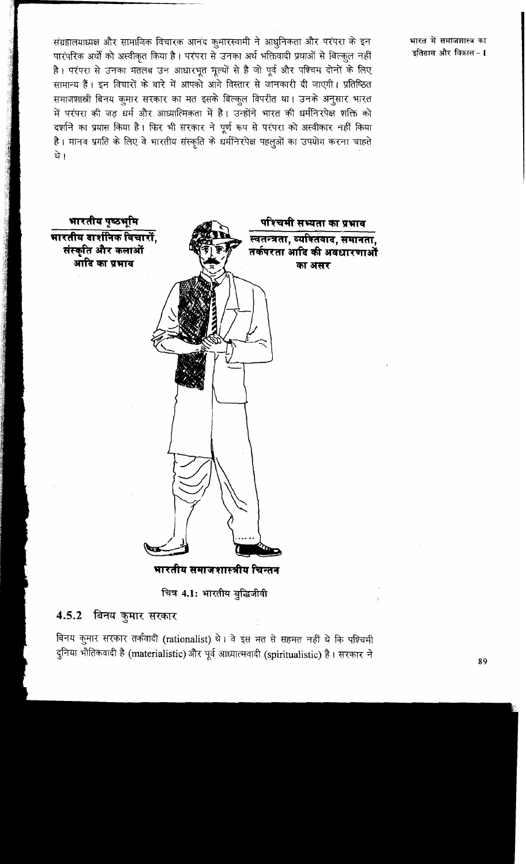संग्रहालयाध्यक्ष और सामाजिक विचारक आनंद कुमारस्वामी ने आधुनिकता और परंपरा के इन पारंपरिक अर्थों को अस्वीकृत किया है। परंपरा से उनका अर्थ भक्तिवादी प्रथाओं से बिल्कुल नहीं है। परंपरा से उनका मतलब उन आधारभूत मूल्यों से है जो पूर्व और पश्चिम दोनों के लिए सामान्य हैं। इन विचारों के बारे में आपको आगे विस्तार से जानकारी दी जाएगी। प्रतिष्ठित समाजशाल्ली बिनय कुमार सरकार का मत इसके बिल्कुल विपरीत था। उनके अनुसार भारत में परंपरा की जड़ धर्म और आध्यात्मिकता में है। उन्होंने भारत की धर्मनिरपेक्ष शक्ति को दर्शाने का प्रयास किया है। फिर भी सरकार ने पूर्ण रूप से परंपरा को अस्वीकार नहीं किया .<br>है। मानव प्रगति के लिए वे भारतीय संस्कृति के धर्मनिरपेक्ष पहलुओं का उपयोग करना चाहते थे ।

भारत में समाजशास्त्र का इतिहास और विकास - **I** 



चित्र 4.1: भारतीय बुद्धिजीवी

#### बिनय कुमार सरकार 4.5.2

बिनय कुमार सरकार तर्कवादी (rationalist) थे। वे इस मत से सहमत नहीं थे कि पश्चिमी दुनिया भौतिकवादी है (materialistic) और पूर्व आध्यात्मवादी (spiritualistic) है। सरकार ने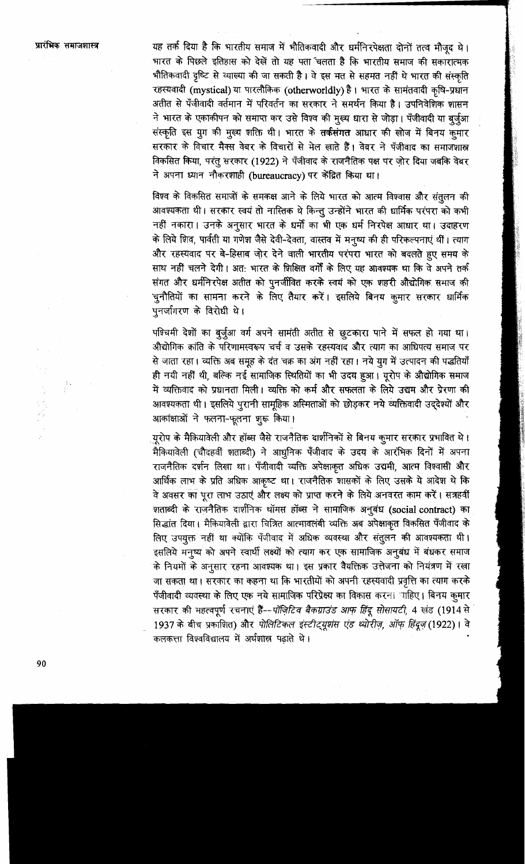यह तर्क दिया है कि भारतीय समाज में भौतिकवादी और धर्मनिरपेक्षता दोनों तत्व मौजूद थे। भारत के पिछले इतिहास को देखें तो यह पता चलता है कि भारतीय समाज की सकारात्मक भौतिकवादी दृष्टि से व्याख्या की जा सकती है। वे इस मत से सहमत नहीं थे भारत की संस्कृति रहस्यवादी (mystical) या पारलौकिक (otherworldly) है। भारत के सामंतवादी कृषि-प्रधान अतीत से पँजीवादी वर्तमान में परिवर्तन का सरकार ने समर्थन किया है। उपनिवेशिक शासन ने भारत के एकाकीपन को समाप्त कर उसे विश्व की मुख्य धारा से जोड़ा। पँजीवादी या बुर्जुआ संस्कृति इस ग्रुग की मुख्य शक्ति थी। भारत के तर्कसंगत आधार की खोज में बिनय कुमार सरकार के विचार मैक्स वेबर के विचारों से मेल खाते हैं। वेबर ने पँजीवाद का समाजशास्त्र विकसित किया, परंतू सरकार (1922) ने पँजीवाद के राजनैतिक पक्ष पर जोर दिया जबकि वेबर ने अपना ध्यान नौकरशाही (bureaucracy) पर केंद्रित किया था।

विश्व के विकसित समाजों के समकक्ष आने के लिये भारत को आत्म विश्वास और संतुलन की आवश्यकता थी। सरकार स्वयं तो नास्तिक थे किन्तू उन्होंने भारत की धार्मिक परंपरा को कभी नहीं नकारा। उनके अनुसार भारत के धर्मों का भी एक धर्म निरपेक्ष आधार था। उदाहरण के लिये शिव, पार्वती या गणेश जैसे देवी-देवता, वास्तव में मनुष्य की ही परिकल्पनाएं थीं। त्याग और रहस्यवाद पर बे-हिसाब जो़र देने वाली भारतीय परंपरा भारत को बदलते हुए समय के साथ नहीं चलने देगी। अत: भारत के शिक्षित वर्गों के लिए यह आवश्यक था कि वे अपने तर्क संगत और धर्मनिरपेक्ष अतीत को पुनर्जीवित करके स्वयं को एक शहरी औद्योगिक समाज की चुनौतियों का सामना करने के लिए तैयार करें। इसलिये बिनय कुमार सरकार धार्मिक पनर्जागरण के विरोधी थे।

पश्चिमी देशों का बुर्जुआ वर्ग अपने सामंती अतीत से छूटकारा पाने में सफल हो गया था। औद्योगिक क्रांति के परिणामस्वरूप चर्च व उसके रहस्यवाद और त्याग का आधिपत्य समाज पर से जाता रहा। व्यक्ति अब समूह के दंत चक्र का अंग नहीं रहा। नये युग में उत्पादन की पद्धतियाँ ही नयी नहीं थी, बल्कि नई सामाजिक स्थितियों का भी उदय हुआ। यूरोप के औद्योगिक समाज में व्यक्तिवाद को प्रधानता मिली। व्यक्ति को कर्म और सफलता के लिये उद्यम और प्रेरणा की आवश्यकता थी। इसलिये पुरानी सामूहिक अस्मिताओं को छोड़कर नये व्यक्तिवादी उद्देश्यों और आकांक्षाओं ने फलना-फूलना शुरू किया।

्यूरोप के मैकियावेली और हॉब्स जैसे राजनैतिक दार्शनिकों से बिनय कुमार सरकार प्रभावित थे। मैकियावेली (चौदहवीं शताब्दी) ने आधुनिक पँजीवाद के उदय के आरंभिक दिनों में अपना राजनैतिक दर्शन लिखा था। पँजीवादी व्यक्ति अपेक्षाकृत अधिक उद्यमी, आत्म विश्वासी और आर्थिक लाभ के प्रति अधिक आकृष्ट था। राजनैतिक शासकों के लिए उसके ये आदेश थे कि वे अवसर का पूरा लाभ उठाएं और लक्ष्य को प्राप्त करने के लिये अनवरत काम करें। सत्रहवीं शताब्दी के राजनैतिक दार्शनिक थॉमस हॉब्स ने सामाजिक अनुबंध (social contract) का सिद्धांत दिया। मैकियावेली द्वारा चित्रित आत्मावलंबी व्यक्ति अब अपेक्षाकृत विकसित पँजीवाद के लिए उपयूक्त नहीं था क्योंकि पँजीवाद में अधिक व्यवस्था और संतुलन की आवश्यकता थी। इसलिये मनुष्य को अपने स्वार्थी लक्ष्यों को त्याग कर एक सामाजिक अनुबंध में बंधकर समाज के नियमों के अनुसार रहना आवश्यक था। इस प्रकार वैयक्तिक उत्तेजना को नियंत्रण में रखा जा सकता था। सरकार का कहना था कि भारतीयों को अपनी रहस्यवादी प्रवृत्ति का त्याग करके पँजीवादी व्यवस्था के लिए एक नये सामाजिक परिप्रेक्ष्य का विकास करना बाहिए। बिनय कुमार सरकार की महत्वपूर्ण रचनाएं हैं--पॉज़िटिव बैकग्राउंड आफ हिंदू सोसायटी, 4 खंड (1914 से 1937 के बीच प्रकाशित) और पोलिटिकल इंस्टीट्यूशंस एंड थ्योरीज़, ऑफ़ हिंदूज़ (1922)। वे कलकत्ता विश्वविद्यालय में अर्थशास्त्र पढाते थे।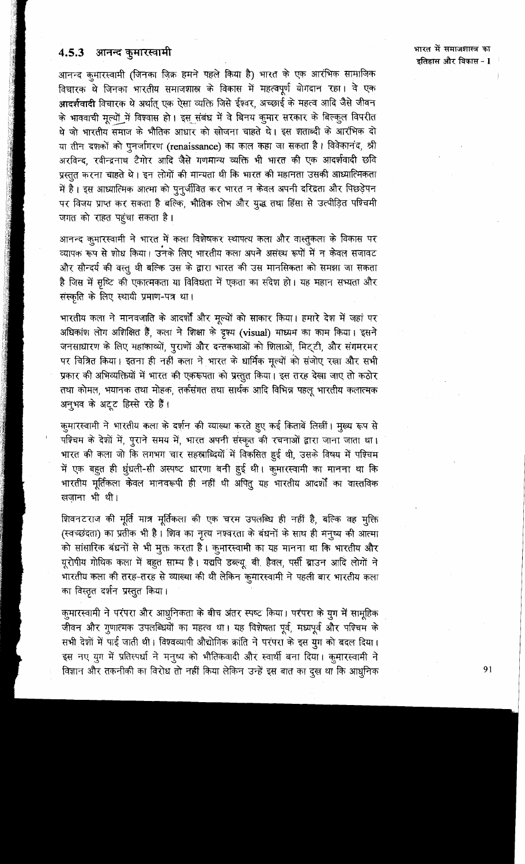# 4.5.3 आनन्द कुमारस्वामी

आनन्द कुमारस्वामी (जिनका ज़िक्र हमने पहले किया है) भारत के एक आरंभिक सामाजिक विचारक थे जिनका भारतीय समाजशास्त्र के विकास में महत्वपूर्ण योगदान रहा। वे एक आदर्शवादी विचारक थे अर्थात् एक ऐसा व्यक्ति जिसे ईश्वर, अच्छाई के महत्व आदि जैसे जीवन के भाववाची मृत्यों में विश्वास हो। इस संबंध में वे बिनय कुमार सरकार के बिल्कुल विपरीत थे जो भारतीय समाज के भौतिक आधार को खोजना चाहते थे। इस शताब्दी के आरंभिक दो या तीन दशकों को पुनर्जागरण (renaissance) का काल कहा जा सकता है। विवेकानंद, श्री अरविन्द, रवीन्द्रनाथ टैगोर आदि जैसे गणमान्य व्यक्ति भी भारत की एक आदर्शवादी छवि प्रस्तुत करना चाहते थे। इन लोगों की मान्यता थी कि भारत की महानता उसकी आध्यात्मिकता में है। इस आध्यात्मिक आत्मा को पुनुर्जीवित कर भारत न केवल अपनी दरिद्रता और पिछड़ेपन पर विजय प्राप्त कर सकता है बल्कि, भौतिक लोभ और युद्ध तथा हिंसा से उत्पीड़ित पश्चिमी जगत को राहत पहुंचा सकता है।

आनन्द कुमारस्वामी ने भारत में कला विशेषकर स्थापत्य कला और वास्तुकला के विकास पर व्यापक रूप से शोध किया। उनके लिए भारतीय कला अपने असंख्य रूपों में न केवल सजावट और सौन्दर्य की वस्तु थी बल्कि उस के द्वारा भारत की उस मानसिकता को समझा जा सकता है जिस में सृष्टि की एकात्मकता या विविधता में एकता का संदेश हो। यह महान सभ्यता और संस्कृति के लिए स्थायी प्रमाण-पत्र था।

भारतीय कला ने मानवजाति के आदर्शों और मूल्यों को साकार किया। हमारे देश में जहां पर अधिकांश लोग अशिक्षित हैं, कला ने शिक्षा के दृश्य (visual) माध्यम का काम किया। इसने जनसाधारण के लिए महाकाव्यों, पुराणों और दन्तकथाओं को शिलाओं, मिट्टी, और संगमरमर पर चित्रित किया। इतना ही नहीं कला ने भारत के धार्मिक मूल्यों को संजोए रखा और सभी प्रकार की अभिव्यक्तियों में भारत की एकरूपता को प्रस्तुत किया। इस तरह देखा जाए तो कठोर तथा कोमल, भयानक तथा मोहक, तर्कसंगत तथा सार्थक आदि विभिन्न पहलू भारतीय कलात्मक अनुभव के अटूट हिस्से रहे हैं।

कुमारस्वामी ने भारतीय कला के दर्शन की व्याख्या करते हुए कई किताबें लिखीं। मूल्य रूप से पश्चिम के देशों में, पुराने समय में, भारत अपनी संस्कृत की रचनाओं द्वारा जाना जाता था। भारत की कला जो कि लगभग चार सहस्राब्दियों में विकसित हुई थी, उसके विषय में पश्चिम में एक बहुत ही धूंधली-सी अस्पष्ट धारणा बनी हुई थी। कुमारस्वामी का मानना था कि भारतीय मूर्तिकला केवल मानवरूपी ही नहीं थी अपितू यह भारतीय आदर्शों का वास्तविक खजाना भी थी।

शिवनटराज की मूर्ति मात्र मूर्तिकला की एक चरम उपलब्धि ही नहीं है, बल्कि वह मुक्ति (स्वच्छंदता) का प्रतीक भी है। शिव का नृत्य नश्वरता के बंधनों के साथ ही मनुष्य की आत्मा को सांसारिक बंधनों से भी मुक्त करता है। कुमारस्वामी का यह मानना था कि भारतीय और यूरोपीय गोथिक कला में बहुत साम्य है। यद्यपि डब्ल्यू. बी. हैवल, पर्सी ब्राउन आदि लोगों ने भारतीय कला की तरह-तरह से व्याख्या की थी लेकिन कूमारस्वामी ने पहली बार भारतीय कला का विस्तृत दर्शन प्रस्तुत किया।

क़ुमारस्वामी ने परंपरा और आधुनिकता के बीच अंतर स्पष्ट किया। परंपरा के ग्रुग में सामूहिक जीवन और गुणात्मक उपलब्धियों का महत्व था। यह विशेषता पूर्व, मध्यपूर्व और पश्चिम के सभी देशों में पाई जाती थी। विश्वव्यापी औद्योगिक क्रांति ने परंपरा के इस युग को बदल दिया। इस नए युग में प्रतिस्पर्धा ने मनुष्य को भौतिकवादी और स्वार्थी बना दिया। कुमारस्वामी ने विज्ञान और तकनीकी का विरोध तो नहीं किया लेकिन उन्हें इस बात का दूख था कि आधुनिक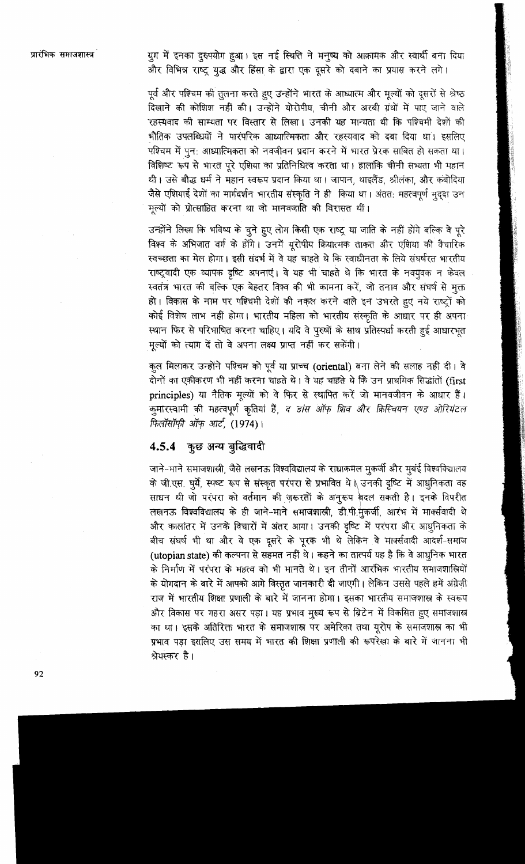युग में इनका दुरुपयोग हुआ। इस नई स्थिति ने मनुष्य को आक्रामक और स्वार्थी बना दिया और विभिन्न राष्ट्र युद्ध और हिंसा के द्वारा एक दूसरे को दबाने का प्रयास करने लगे।

पूर्व और पश्चिम की तुलना करते हुए उन्होंने भारत के आध्यात्म और मूल्यों को दूसरों से श्रेष्ठ .<br>दिखाने की कोशिश नहीं की। उन्होंने योरोपीय, चीनी और अरबी ग्रंथों में पाए जाने वाले रहस्यवाद की साम्यता पर विस्तार से लिखा। उनकी यह मान्यता थी कि पश्चिमी देशों की भौतिक उपलब्धियों ने पारंपरिक आध्यात्मिकता और रहस्यवाद को दबा दिया था। इसलिए पश्चिम में पुन: आध्यात्मिकता को नवजीवन प्रदान करने में भारत प्रेरक साबित हो सकता था। विशिष्ट रूप से भारत पूरे एशिया का प्रतिनिधित्व करता था। हालांकि चीनी सभ्यता भी महान थी। उसे बौद्ध धर्म ने महान स्वरूप प्रदान किया था। जापान, थाइलैंड, श्रीलंका, और कंबोदिया जैसे एशियाई देशों का मार्गदर्शन भारतीय संस्कृति ने ही किया था। अंततः महत्वपूर्ण मुद्दा उन मूल्यों को प्रोत्साहित करना था जो मानवजाति की विरासत थीं।

उन्होंने लिखा कि भविष्य के चुने हुए लोग किसी एक राष्ट्र या जाति के नहीं होंगे बल्कि वे पूरे विश्व के अभिजात वर्ग के होंगे। उनमें यूरोपीय क्रियात्मक ताकत और एशिया की वैचारिक स्वच्छता का मेल होगा। इसी संदर्भ में वे यह चाहते थे कि स्वाधीनता के लिये संघर्षरत भारतीय राष्ट्रवादी एक व्यापक दृष्टि अपनाएं। वे यह भी चाहते थे कि भारत के नवयूवक न केवल स्वतंत्र भारत की बल्कि एक बेहतर विश्व की भी कामना करें, जो तनाव और संघर्ष से मुक्त हो। विकास के नाम पर पश्चिमी देशों की नकल करने वाले इन उभरते हुए नये राष्ट्रों को कोई विशेष लाभ नहीं होगा। भारतीय महिला को भारतीय संस्कृति के आधार पर ही अपना स्थान फिर से परिभाषित करना चाहिए। यदि वे पुरुषों के साथ प्रतिस्पर्धा करती हुई आधारभूत मुल्यों को त्याग दें तो वे अपना लक्ष्य प्राप्त नहीं कर सकेंगी।

कुल मिलाकर उन्होंने पश्चिम को पूर्व या प्राच्च (oriental) बना लेने की सलाह नहीं दी। वे दोनों का एकीकरण भी नहीं करना चाहते थे। वे यह चाहते थे कि उन प्राथमिक सिद्धांतों (first principles) या नैतिक मूल्यों को वे फिर से स्थापित करें जो मानवजीवन के आधार हैं। कुमारस्वामी की महत्वपूर्ण कृतियां हैं, द डांस ऑफ़ शिव और क्रिस्चियन एण्ड ओरियंटल फिलॉसॉफी ऑफ आर्ट, (1974)।

# 4.5.4 कुछ अन्य बुद्धिवादी

जाने-माने समाजशाली, जैसे लखनऊ विश्वविद्यालय के राधाकमल मुकर्जी और मुबंई विश्वविद्यालय के जी.एस. घुर्ये, स्पष्ट रूप से संस्कृत परंपरा से प्रभावित थे । उनकी दृष्टि में आधुनिकता वह साधन थी जो परंपरा को वर्तमान की ज़रूरतों के अनुरूप बदल सकती है। इनके विपरीत लखनऊ विश्वविद्यालय के ही जाने-माने समाजशास्त्री, डी.पी.मुकर्जी, आरंभ में मार्क्सवादी थे और कालांतर में उनके विचारों में अंतर आया। उनकी दृष्टि में परंपरा और आधुनिकता के बीच संघर्ष भी था और वे एक दूसरे के पूरक भी थे लेकिन वे मार्क्सवादी आदर्श-समाज (utopian state) की कल्पना से सहमत नहीं थे। कहने का तात्पर्य यह है कि वे आधुनिक भारत के निर्माण में परंपरा के महत्व को भी मानते थे। इन तीनों आरंभिक भारतीय समाजशास्त्रियों के योगदान के बारे में आपको आगे विस्तृत जानकारी दी जाएगी। लेकिन उससे पहले हमें अंग्रेज़ी राज में भारतीय शिक्षा प्रणाली के बारे में जानना होगा। इसका भारतीय समाजशास्त्र के स्वरूप और विकास पर गहरा असर पड़ा। यह प्रभाव मूख्य रूप से ब्रिटेन में विकसित हुए समाजशास्त्र का था। इसके अतिरिक्त भारत के समाजशास्त्र पर अमेरिका तथा यूरोप के समाजशास्त्र का भी प्रभाव पड़ा इसलिए उस समय में भारत की शिक्षा प्रणाली की रूपरेखा के बारे में जानना भी श्रेयस्कर है।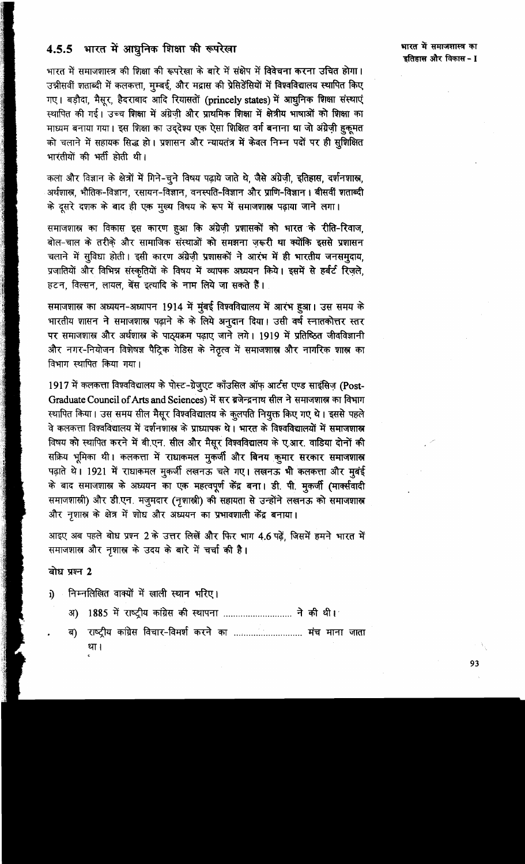# 4.5.5 भारत में आधुनिक शिक्षा की रूपरेखा

भारत में समाजशास्त्र की शिक्षा की रूपरेखा के बारे में संक्षेप में विवेचना करना उचित होगा। उन्नीसवीं शताब्दी में कलकत्ता, मुम्बई, और मद्रास की प्रेसिडेंसियों में विश्वविद्यालय स्थापित किए गए। बड़ौदा, मैसूर, हैदराबाद आदि रियासतों (princely states) में आधुनिक शिक्षा संस्थाएं स्थापित की गई। उच्च शिक्षा में अंग्रेज़ी और प्राथमिक शिक्षा में क्षेत्रीय भाषाओं को शिक्षा का माध्यम बनाया गया। इस शिक्षा का उद्देश्य एक ऐसा शिक्षित वर्ग बनाना था जो अंग्रेज़ी हुकूमत को चलाने में सहायक सिद्ध हो। प्रशासन और न्यायतंत्र में केवल निम्न पदों पर ही सुशिक्षित भारतीयों की भर्ती होती थी।

कला और विज्ञान के क्षेत्रों में गिने-चुने विषय पढ़ाये जाते थे, जैसे अंग्रेज़ी, इतिहास, दर्शनशास्त्र, अर्थशास्त्र, भौतिक-विज्ञान, रसायन-विज्ञान, वनस्पति-विज्ञान और प्राणि-विज्ञान । बीसवीं शताब्दी के दूसरे दशक के बाद ही एक मुख्य विषय के रूप में समाजशास्त्र पढ़ाया जाने लगा।

समाजशास्र का विकास इस कारण हुआ कि अंग्रेज़ी प्रशासकों को भारत के रीति-रिवाज, बोल-चाल के तरीके और सामाजिक संस्थाओं <mark>को समझना ज़रूरी था क्योंकि इससे प्रशा</mark>सन चलाने में सुविधा होती। इसी कारण अंग्रेज़ी प्रशासकों ने आरंभ में ही भारतीय जनसमुदाय, प्रजातियों और विभिन्न संस्कृतियों के विषय में व्यापक अध्ययन किये। इसमें से हर्बर्ट रिज़ले, हटन, विल्सन, लायल, बेंस इत्यादि के नाम लिये जा सकते हैं।

समाजशास्त्र का अध्ययन-अध्यापन 1914 में मुंबई विश्वविद्यालय में आरंभ हुआ। उस समय के भारतीय शासन ने समाजशास्त्र पढ़ाने के के लिये अनुदान दिया। उसी वर्ष स्नातकोत्तर स्तर पर समाजशास्त्र और अर्थशास्त्र के पाठ्यक्रम पढ़ाए जाने लगे। 1919 में प्रतिष्ठित जीवविज्ञानी और नगर-नियोजन विशेषज्ञ पैट्रिक गेडिस के नेतृत्व में समाजशास्त्र और नागरिक शास्त्र का विभाग स्थापित किया गया।

1917 में कलकत्ता विश्वविद्यालय के पोस्ट-ग्रेजुएट काँउसिल ऑफ़ आर्टस एण्ड साइंसिज़ (Post-Graduate Council of Arts and Sciences) में सर ब्रजेन्द्रनाथ सील ने समाजशास्त्र का विभाग स्थापित किया। उस समय सील मैसूर विश्वविद्यालय के कुलपति नियुक्त किए गए थे। इससे पहले वे कलकत्ता विश्वविद्यालय में दर्शनशास्त्र के प्राध्यापक थे। भारत के विश्वविद्यालयों में समाजशास्त्र विषय को स्थापित करने में बी.एन. सील और मैसूर विश्वविद्यालय के ए.आर. वाडिया दोनों की सक्रिय भूमिका थी। कलकत्ता में राधाकमल मुकर्जी और बिनय कुमार सरकार समाजशास्त्र पढ़ाते थे। 1921 में राधाकमल मुकर्जी लखनऊ चले गए। लखनऊ भी कलकत्ता और मुबंई के बाद समाजशास्त्र के अध्ययन का एक महत्वपूर्ण केंद्र बना। डी. पी. मुकर्जी (मार्क्सवादी समाजशाली) और डी.एन. मजुमदार (नृशाली) की सहायता से उन्होंने लखनऊ को समाजशाल और नृशास्त्र के क्षेत्र में शोध और अध्ययन का प्रभावशाली केंद्र बनाया।

आइए अब पहले बोध प्रश्न 2 के उत्तर लिखें और फिर भाग 4.6 पढ़ें, जिसमें हमने भारत में समाजशास्र और नृशास्र के उदय के बारे में चर्चा की है।

## बोध प्रश्न 2

- निम्नलिखित वाक्यों में खाली स्थान भरिए। i)
	- अ) 1885 में राष्ट्रीय कांग्रेस की स्थापना ............................. ने की थी।
	- राष्ट्रीय कांग्रेस विचार-विमर्श करने का ............................. मंच माना जाता ৰ) था ।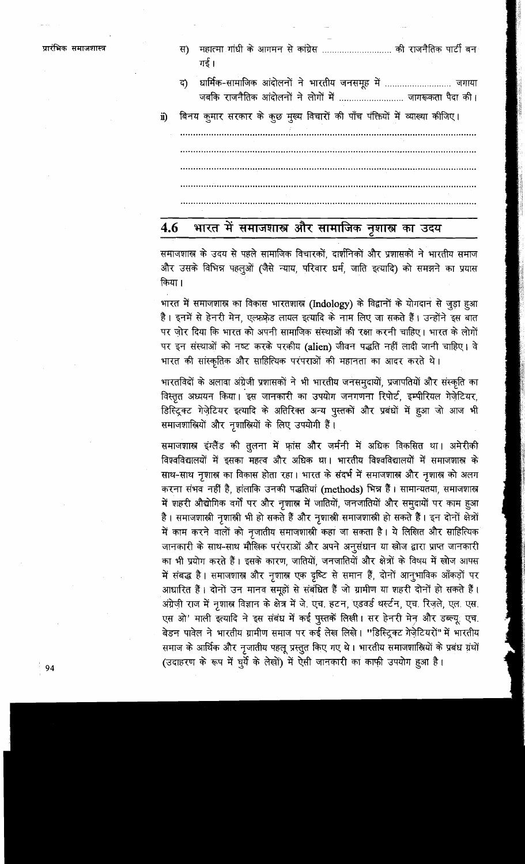| प्रारंभिक समाजशास्त्र |     | महात्मा गांधी के आगमन से कांग्रेस  की राजनैतिक पार्टी बन<br>स)<br>गई ।                                            |
|-----------------------|-----|-------------------------------------------------------------------------------------------------------------------|
|                       |     | द) धार्मिक-सामाजिक आंदोलनों ने भारतीय जनसमूह में  जगाया<br>जबकि राजनैतिक आंदोलनों ने लोगों में  जागरूकता पैदा की। |
|                       | ii) | बिनय कुमार सरकार के कुछ मुख्य विचारों की पाँच पंक्तियों में व्याख्या कीजिए।                                       |
|                       |     |                                                                                                                   |
|                       |     |                                                                                                                   |
|                       |     |                                                                                                                   |
|                       |     |                                                                                                                   |

## भारत में समाजशास्त्र और सामाजिक नृशास्त्र का उदय 4.6

समाजशास्र के उदय से पहले सामाजिक विचारकों, दार्शनिकों और प्रशासकों ने भारतीय समाज और उसके विभिन्न पहलुओं (जैसे न्याय, परिवार धर्म, जाति इत्यादि) को समझने का प्रयास किया।

भारत में समाजशास्त्र का विकास भारतशास्त्र (Indology) के विद्वानों के योगदान से जुड़ा हुआ है। इनमें से हेनरी मेन, एल्फ़फ़ेड लायल इत्यादि के नाम लिए जा सकते हैं। उन्होंने इस बात पर ज़ोर दिया कि भारत को अपनी सामाजिक संस्थाओं की रक्षा करनी चाहिए। भारत के लोगों पर इन संस्थाओं को नष्ट करके परकीय (alien) जीवन पद्धति नहीं लादी जानी चाहिए। वे भारत की सांस्कृतिक और साहित्यिक परंपराओं की महानता का आदर करते थे।

भारतविदों के अलावा अंग्रेजी प्रशासकों ने भी भारतीय जनसमुदायों, प्रजापतियों और संस्कृति का विस्तृत अध्ययन किया। इस जानकारी का उपयोग जनगणना रिपोर्ट, इम्पीरियल गेर्ज़ेटियर, डिस्ट्रिक्ट गेज़ेटियर इत्यादि के अतिरिक्त अन्य पुस्तकों और प्रबंधों में हुआ जो आज भी समाजशास्त्रियों और नृशास्त्रियों के लिए उपयोगी हैं।

समाजशास्त्र इंग्लैंड की तूलना में फ़ांस और जर्मनी में अधिक विकसित था। अमेरीकी विश्वविद्यालयों में इसका महत्व और अधिक था। भारतीय विश्वविद्यालयों में समाजशास्त्र के साथ-साथ नृशास्त्र का विकास होता रहा। भारत के संदर्भ में समाजशास्त्र और नृशास्त्र को अलग करना संभव नहीं है, हांलाकि उनकी पद्धतियां (methods) भिन्न हैं। सामान्यतया, समाजशास्त्र में शहरी औद्योगिक वर्गों पर और नृशास्त्र में जातियों, जनजातियों और समुदायों पर काम हुआ है। समाजशास्त्री नृशास्त्री भी हो सकते हैं और नृशास्त्री समाजशास्त्री हो सकते हैं। इन दोनों क्षेत्रों में काम करने वालों को नृजातीय समाजशास्त्री कहा जा सकता है। ये लिखित और साहित्यिक जानकारी के साथ-साथ मौखिक परंपराओं और अपने अनुसंधान या खोज द्वारा प्राप्त जानकारी का भी प्रयोग करते हैं। इसके कारण, जातियों, जनजातियों और क्षेत्रों के विषय में खोज आपस में संबद्ध है। समाजशास्त्र और नृशास्त्र एक दृष्टि से समान हैं, दोनों आनुभाविक आँकड़ों पर आधारित हैं। दोनों उन मानव समूहों से संबंधित हैं जो ग्रामीण या शहरी दोनों हो सकते हैं। अंग्रेज़ी राज में नृशास्र विज्ञान के क्षेत्र में जे. एच. हटन, एडवर्ड थर्स्टन, एच. रिज़ले, एल. एस. एस ओ' माली इत्यादि ने इस संबंध में कई पुस्तकें लिखी। सर हेनरी मेन और डब्ल्यू एच. बेडन पावेल ने भारतीय ग्रामीण समाज पर कई लेख लिखे। "डिस्ट्रिक्ट ग्रेज़ेटियरों" में भारतीय समाज के आर्थिक और नृजातीय पहलू प्रस्तुत किए गए थे। भारतीय समाजशास्त्रियों के प्रबंध ग्रंथों

(उदाहरण के रूप में घुर्ये के लेखों) में ऐसी जानकारी का काफी उपयोग हुआ है।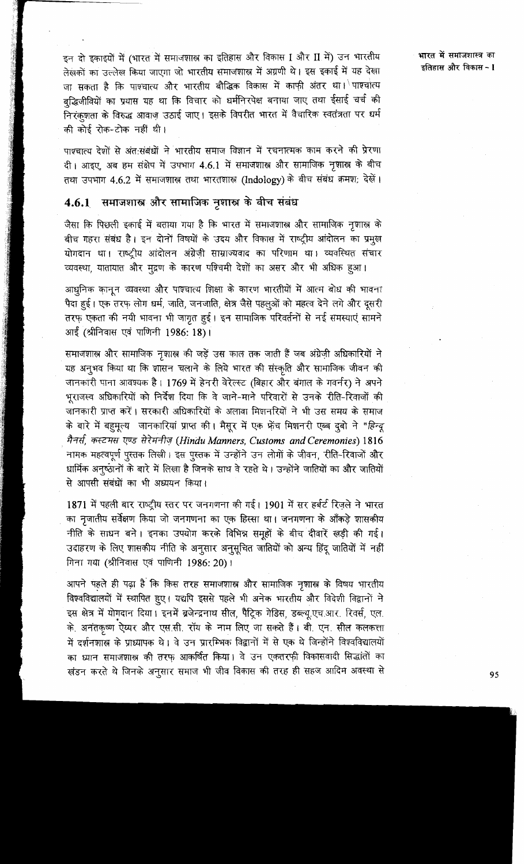इन दो इकाइयों में (भारत में समाजशास्त्र का इतिहास और विकास I और II में) उन भारतीय लेखकों का उल्लेख किया जाएगा जो भारतीय समाजशास्त्र में अग्रणी थे। इस इकाई में यह देखा जा सकता है कि पाश्चात्य और भारतीय बौद्धिक विकास में काफी अंतर था। पाश्चोत्य बुद्धिजीवियों का प्रयास यह था कि विचार को धर्मनिरपेक्ष बनाया जाए तथा ईसाई चर्च की निरंकृशता के विरुद्ध आवाज़ उठाई जाए। इसके विपरीत भारत में वैचारिक स्वतंत्रता पर धर्म की कोई रोक-टोक नहीं थी।

पाश्चात्य देशों से अंतःसंबंधों ने भारतीय समाज विज्ञान में रचनात्मक काम करने की प्रेरणा दी। आइए, अब हम संक्षेप में उपभाग 4.6.1 में समाजशास्त्र और सामाजिक नृशास्त्र के बीच तथा उपभाग 4.6.2 में समाजशास्त्र तथा भारतशास्त्र (Indology) के बीच संबंध क्रमश: देखें।

### समाजशास्त्र और सामाजिक नृशास्त्र के बीच संबंध  $4.6.1$

जैसा कि पिछली इकाई में बताया गया है कि भारत में समाजशास्त्र और सामाजिक नृशास्त्र के बीच गहरा संबंध है। इन दोनों विषयों के उदय और विकास में राष्ट्रीय आंदोलन का प्रमुख योगदान था। राष्ट्रीय आंदोलन अंग्रेज़ी साम्राज्यवाद का परिणाम था। व्यवस्थित संचार व्यवस्था, यातायात और मुद्रण के कारण पश्चिमी देशों का असर और भी अधिक हुआ।

आधुनिक कानून व्यवस्था और पाश्चात्य शिक्षा के कारण भारतीयों में आत्म बोध की भावना पैदा हुई। एक तरफ़ लोग धर्म, जाति, जनजाति, क्षेत्र जैसे पहलुओं को महत्व देने लगे और दूसरी तरफ़ एकता की नयी भावना भी जागृत हुई। इन सामाजिक परिवर्तनों से नई समस्याएं सामने आई (श्रीनिवास एवं पाणिनी 1986: 18)।

समाजशास्त्र और सामाजिक नृशास्त्र की जड़ें उस काल तक जाती हैं जब अंग्रेज़ी अधिकारियों ने यह अनुभव किया था कि शासन चलाने के लिये भारत की संस्कृति और सामाजिक जीवन की जानकारी पाना आवश्यक है। 1769 में हेनरी वेरेल्स्ट (बिहार और बंगाल के गवर्नर) ने अपने भूराजस्व अधिकारियों को निर्देश दिया कि वे जाने-माने परिवारों से उनके रीति-रिवाजों की जानकारी प्राप्त करें। सरकारी अधिकारियों के अलावा मिशनरियों ने भी उस समय के समाज के बारे में बहुमूल्य जानकारियां प्राप्त की। मैसूर में एक फ़ेंच मिशनरी एब्ब दुबो ने "हिन्दू मैनर्स, कस्टमस एण्ड सेरेमनीज़ (Hindu Manners, Customs and Ceremonies) 1816 नामक महत्वपूर्ण पुस्तक लिखी। इस पुस्तक में उन्होंने उन लोगों के जीवन, रीति-रिवाजों और धार्मिक अनूप्ठानों के बारे में लिखा है जिनके साथ वे रहते थे। उन्होंने जातियों का और जातियों से आपसी संबंधों का भी अध्ययन किया।

1871 में पहली बार राष्ट्रीय स्तर पर जनगणना की गई। 1901 में सर हर्बर्ट रिज़ले ने भारत का नृजातीय सर्वेक्षण किया जो जनगणना का एक हिस्सा था। जनगणना के आँकड़े शासकीय नीति के साधन बने। इनका उपयोग करके विभिन्न समूहों के बीच दीवारें खड़ी की गई। उदाहरण के लिए शासकीय नीति के अनुसार अनुसूचित जातियों को अन्य हिंदू जातियों में नहीं गिना गया (श्रीनिवास एवं पाणिनी 1986: 20)।

आपने पहले ही पढ़ा है कि किस तरह समाजशास्त्र और सामाजिक नृशास्त्र के विषय भारतीय विश्वविद्यालयों में स्थापित हुए। यद्यपि इससे पहले भी अनेक भारतीय और विदेशी विद्वानों ने इस क्षेत्र में योगदान दिया। इनमें ब्रजेन्द्रनाथ सील, पैट्रिक गेडिस, डब्ल्यू.एच.आर. रिवर्स, एल. के. अनंतकृष्ण ऐय्यर और एस.सी. रॉय के नाम लिए जा सकते हैं। बी. एन. सील कलकत्ता में दर्शनशास्त्र के प्राध्यापक थे। वे उन प्रारम्भिक विद्वानों में से एक थे जिन्होंने विश्वविद्यालयों का ध्यान समाजशास्त्र की तरफ आकर्षित किया। वे उन एकतरफी विकासवादी सिद्धांतों का खंडन करते थे जिनके अनुसार समाज भी जीव विकास की तरह ही सहज आदिम अवस्था से

भारत में समाजशास्त्र का इतिहास और विकास - I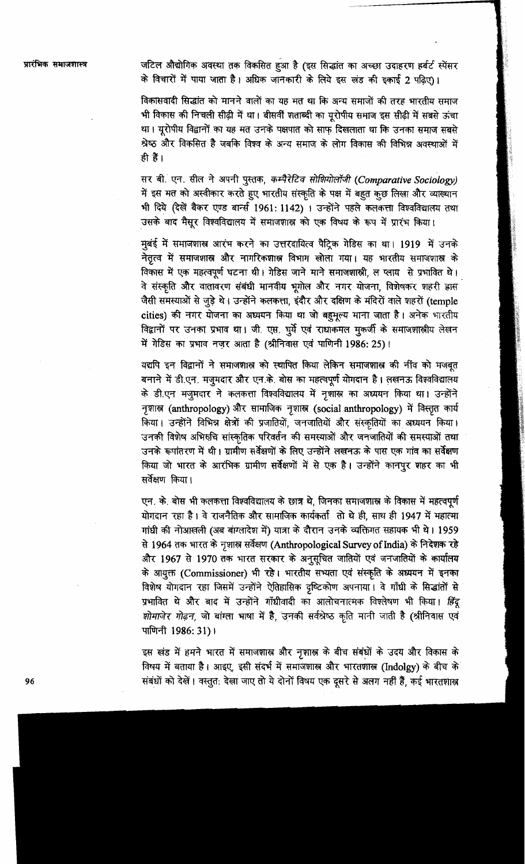जटिल औद्योगिक अवस्था तक विकसित हुआ है (इस सिद्धांत का अच्छा उदाहरण हर्बर्ट स्पेंसर के विचारों में पाया जाता है। अधिक जानकारी के लिये इस खंड की इकाई 2 पढिए)।

विकासवादी सिद्धांत को मानने वालों का यह मत था कि अन्य समाजों की तरह भारतीय समाज भी विकास की निचली सीढ़ी में था। बीसवीं शताब्दी का यूरोपीय समाज इस सीढ़ी में सबसे ऊंचा था। यूरोपीय विद्वानों का यह मत उनके पक्षपात को साफ दिखलाता था कि उनका समाज सबसे श्रेष्ठ और विकसित है जबकि विश्व के अन्य समाज के लोग विकास की विभिन्न अवस्थाओं में ही हैं।

सर बी. एन. सील ने अपनी पुस्तक, कम्पैरेटिव सोशियोलॉजी (Comparative Sociology) में इस मत को अस्वीकार करते हुए भारतीय संस्कृति के पक्ष में बहुत कुछ लिखा और व्याख्यान भी दिये (देखें बैकर एण्ड बार्न्स 1961: 1142) । उन्होंने पहले कलकत्ता विश्वविद्यालय तथा उसके बाद मैसूर विश्वविद्यालय में समाजशास्त्र को एक विषय के रूप में प्रारंभ किया।

मुबंई में समाजशास्त्र आरंभ करने का उत्तरदायित्व पैट्रिक गेडिस का था। 1919 में उनके नेतृत्व में समाजशास्त्र और नागरिकशास्त्र विभाग खोला गया। यह भारतीय समाजशास्त्र के विकास में एक महत्वपूर्ण घटना थी। गेडिस जाने माने समाजशास्त्री ल प्लाय से प्रभावित थे। वे संस्कृति और वातावरण संबंधी मानवीय भूगोल और नगर योजना, विशेषकर शहरी ह्रास जैसी समस्याओं से जुड़े थे। उन्होंने कलकत्ता, इंदौर और दक्षिण के मंदिरों वाले शहरों (temple cities) की नगर योजना का अध्ययन किया था जो बहमूल्य माना जाता है। अनेक भारतीय विद्वानों पर उनका प्रभाव था। जी एस. घुर्ये एवं राधाकमल मुकर्जी के समाजशास्त्रीय लेखन में गेडिस का प्रभाव नज़र आता है (श्रीनिवास एवं पाणिनी 1986: 25)।

यद्यपि इन विद्वानों ने समाजशास्र को स्थापित किया लेकिन समाजशास्र की नींव को मजबूत बनाने में डी.एन. मजूमदार और एन.के. बोस का महत्वपूर्ण योगदान है। लखनऊ विश्वविद्यालय के डी.एन मजुमदार ने कलकत्ता विश्वविद्यालय में नृशास्त्र का अध्ययन किया था। उन्होंने नृशास्त्र (anthropology) और सामाजिक नृशास्त्र (social anthropology) में विस्तृत कार्य किया। उन्होंने विभिन्न क्षेत्रों की प्रजातियों, जनजातियों और संस्कृतियों का अध्ययन किया। उनकी विशेष अभिरुचि सांस्कृतिक परिवर्तन की समस्याओं और जनजातियों की समस्याओं तथा उनके रूपांतरण में थी। ग्रामीण सर्वेक्षणों के लिए उन्होंने लखनऊ के पास एक गांव का सर्वेक्षण किया जो भारत के आरंभिक ग्रामीण सर्वेक्षणों में से एक है। उन्होंने कानपुर शहर का भी सर्वेक्षण किया।

एन. के. बोस भी कलकत्ता विश्वविद्यालय के छात्र थे, जिनका समाजशास्त्र के विकास में महत्वपूर्ण योगदान रहा है। वे राजनैतिक और सामाजिक कार्यकर्ता तो थे ही, साथ ही 1947 में महात्मा गांधी की नोआखली (अब बांग्लादेश में) यात्रा के दौरान उनके व्यक्तिगत सहायक भी थे। 1959 से 1964 तक भारत के नृशास्त्र सर्वेक्षण (Anthropological Survey of India) के निदेशक रहे और 1967 से 1970 तक भारत सरकार के अनुसूचित जातियों एवं जनजातियों के कार्यालय के आयुक्त (Commissioner) भी रहे। भारतीय सभ्यता एवं संस्कृति के अध्ययन में इनका विशेष योगदान रहा जिसमें उन्होंने ऐतिहासिक दृष्टिकोण अपनाया। वे गाँधी के सिद्धांतों से प्रभावित थे और बाद में उन्होंने गाँधीवादी का आलोचनात्मक विश्लेषण भी किया। हिंदू शोमाजेर गोढ़न, जो बांग्ला भाषा में है, उनकी सर्वश्रेष्ठ कृति मानी जाती है (श्रीनिवास एवं पाणिनी 1986: 31)।

इस खंड में हमने भारत में समाजशास्त्र और नृशास्त्र के बीच संबंधों के उदय और विकास के विषय में बताया है। आइए, इसी संदर्भ में समाजशास्त्र और भारतशास्त्र (Indolgy) के बीच के संबंधों को देखें। वस्तुत: देखा जाए तो ये दोनों विषय एक दूसरे से अलग नहीं हैं, कई भारतशास्त्र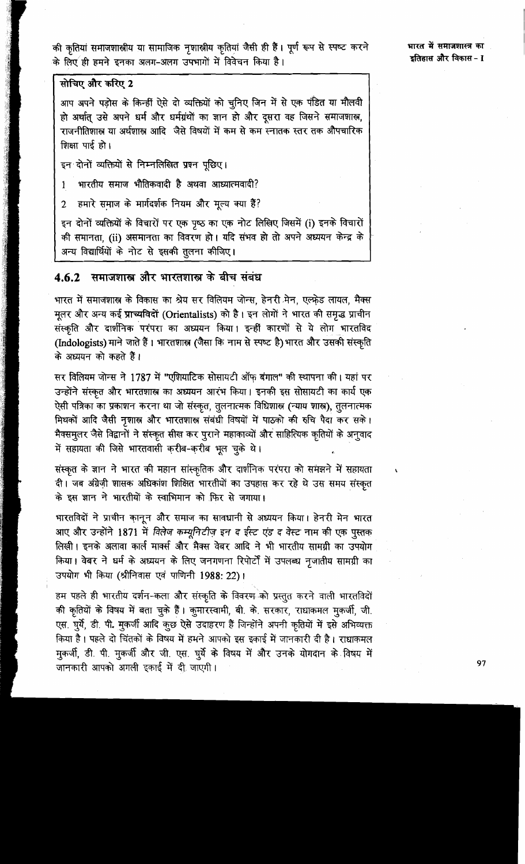की कृतियां समाजशास्त्रीय या सामाजिक नृशास्त्रीय कृतियां जैसी ही हैं। पूर्ण रूप से स्पष्ट करने के लिए ही हमने इनका अलग-अलग उपभागों में विवेचन किया है।

भारत में समाजशास्त्र का इतिहास और विकास - I

## सोचिए और करिए 2

आप अपने पड़ोस के किन्हीं ऐसे दो व्यक्तियों को चुनिए जिन में से एक पंडित या मौलवी हो अर्थात् उसे अपने धर्म और धर्मग्रंथों का ज्ञान हो और दूसरा वह जिसने समाजशास्त्र, राजनीतिशास्त्र या अर्थशास्त्र आदि जैसे विषयों में कम से कम स्नातक स्तर तक औपचारिक शिक्षा पाई हो।

## इन दोनों व्यक्तियों से निम्नलिखित प्रश्न पूछिए।

भारतीय समाज भौतिकवादी है अथवा आध्यात्मवादी?  $\mathbf{1}$ 

हमारे समाज के मार्गदर्शक नियम और मृत्य क्या हैं?  $\overline{2}$ 

इन दोनों व्यक्तियों के विचारों पर एक पृष्ठ का एक नोट लिखिए जिसमें (i) इनके विचारों की समानता, (ii) असमानता का विवरण हो। यदि संभव हो तो अपने अध्ययन केन्द्र के अन्य विद्यार्थियों के नोट से इसकी तुलना कीजिए।

# 4.6.2 समाजशास्त्र और भारतशास्त्र के बीच संबंध

भारत में समाजशास्त्र के विकास का श्रेय सर विलियम जोन्स, हेनरी मेन, एल्फ़ेड लायल, मैक्स मूलर और अन्य कई प्राच्यविदों (Orientalists) को है। इन लोगों ने भारत की समृद्ध प्राचीन संस्कृति और दार्शनिक परंपरा का अध्ययन किया। इन्हीं कारणों से ये लोग भारतविद (Indologists) माने जाते हैं। भारतशास्त्र (जैसा कि नाम से स्पष्ट है) भारत और उसकी संस्कृति के अध्ययन को कहते हैं।

सर विलियम जोन्स ने 1787 में "एशियाटिक सोसायटी ऑफ़ बंगाल" की स्थापना की। यहां पर उन्होंने संस्कृत और भारतशास्त्र का अध्ययन आरंभ किया। इनकी इस सोसायटी का कार्य एक ऐसी पत्रिका का प्रकाशन करना था जो संस्कृत, तूलनात्मक विधिशास्त्र (न्याय शास्त्र), तूलनात्मक मिथकों आदि जैसी नृशास्त्र और भारतशास्त्र संबंधी विषयों में पाठको की रुचि पैदा कर सके। मैक्समुलर जैसे विद्वानों ने संस्कृत सीख कर पूराने महाकाव्यों और साहित्यिक कृतियों के अनुवाद में सहायता की जिसे भारतवासी करीब-करीब भूल चुके थे।

संस्कृत के ज्ञान ने भारत की महान सांस्कृतिक और दार्शनिक परंपरा को समझने में सहायता दी। जब अंग्रेज़ी शासक अधिकांश शिक्षित भारतीयों का उपहास कर रहे थे उस समय संस्कृत के इस ज्ञान ने भारतीयों के स्वाभिमान को फिर से जगाया।

भारतविदों ने प्राचीन कानून और समाज का सावधानी से अध्ययन किया। हेनरी मेन भारत आए और उन्होंने 1871 में विलेज कम्यूनिटीज़ इन द ईस्ट एंड द वेस्ट नाम की एक पुस्तक लिखी। इनके अलावा कार्ल मार्क्स और मैक्स वेबर आदि ने भी भारतीय सामग्री का उपयोग किया। वेबर ने धर्म के अध्ययन के लिए जनगणना रिपोर्टों में उपलब्ध नृजातीय सामग्री का उपयोग भी किया (श्रीनिवास एवं पाणिनी 1988: 22)।

हम पहले ही भारतीय दर्शन-कला और संस्कृति के विवरण को प्रस्तुत करने वाली भारतविदों की कृतियों के विषय में बता चुके हैं। कुमारस्वामी, बी. के. सरकार, राधाकमल मुकर्जी, जी. एस. घुर्ये, डी. पी. मुकर्जी आदि कुछ ऐसे उदाहरण हैं जिन्होंने अपनी कृतियों में इसे अभिव्यक्त किया है। पहले दो चिंतकों के विषय में हमने आपको इस इकाई में जानकारी दी है। राधाकमल मुकर्जी, डी. पी. मुकर्जी और जी. एस. घूर्ये के विषय में और उनके योगदान के विषय में जानकारी आपको अगली इकाई में दी जाएगी।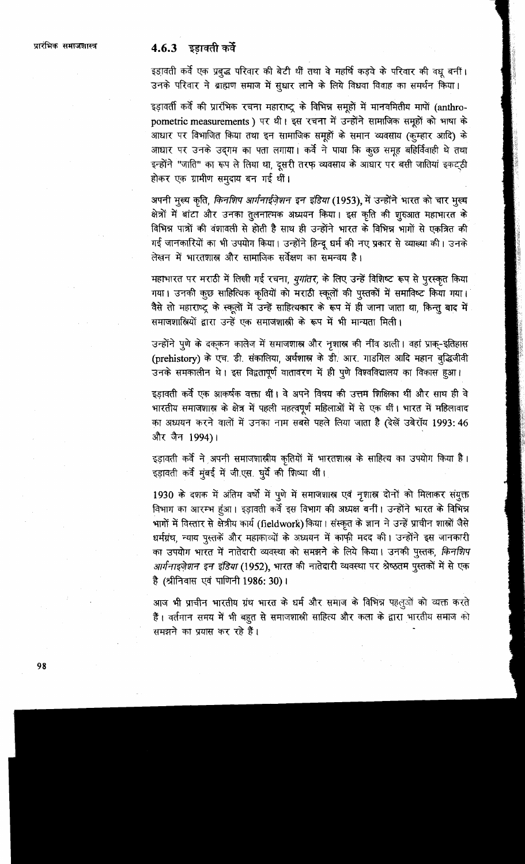# 4.6.3 इड़ावती कर्वे

इड़ावती कर्वे एक प्रबुद्ध परिवार की बेटी थीं तथा वे महर्षि कड़वे के परिवार की वधु बनीं। उनके परिवार ने ब्राह्मण समाज में सुधार लाने के लिये विधवा विवाह का समर्थन किया।

इड़ावर्ती कर्वे की प्रारंभिक रचना महाराष्ट्र के विभिन्न समूहों में मानवमितीय मापों (anthropometric measurements) पर थी। इस रचना में उन्होंने सामाजिक समूहों को भाषा के आधार पर विभाजित किया तथा इन सामाजिक समूहों के समान व्यवसाय (कुम्हार आदि) के आधार पर उनके उदगम का पता लगाया। कर्वे ने पाया कि कुछ समूह बहिर्विवाही थे तथा इन्होंने "जाति" का रूप ले लिया था, दूसरी तरफ व्यवसाय के आधार पर बसी जातियां इकट्ठी होकर एक ग्रामीण समुदाय बन गई थीं।

अपनी मूल्य कृति, किनशिप आर्गनाईज़ेशन इन इंडिया (1953), में उन्होंने भारत को चार मूल्य क्षेत्रों में बांटा और उनका तुलनात्मक अध्ययन किया। इस कृति की शुरुआत महाभारत के विभिन्न पात्रों की वंशावली से होती है साथ ही उन्होंने भारत के विभिन्न भागों से एकत्रित की गई जानकारियों का भी उपयोग किया। उन्होंने हिन्दू धर्म की नए प्रकार से व्याख्या की। उनके लेखन में भारतशास्त्र और सामाजिक सर्वेक्षण का समन्वय है।

महाभारत पर मराठी में लिखी गई रचना, *युगांतर, के लिए उन्हें विशिष्ट रूप से पुरस्कृ*त किया गया। उनकी कुछ साहित्यिक कृतियों को मराठी स्कूलों की पुस्तकों में समाविष्ट किया गया। वैसे तो महाराष्ट्र के स्कूलों में उन्हें साहित्यकार के रूप में ही जाना जाता था, किन्तु बाद में समाजशालियों द्वारा उन्हें एक समाजशाली के रूप में भी मान्यता मिली।

उन्होंने पुणे के दक्कन कालेज में समाजशास्त्र और नृशास्त्र की नींव डाली। वहां प्राक्-इतिहास (prehistory) के एच. डी. संकालिया, अर्थशास्त्र के डी. आर. गाडगिल आदि महान बुद्धिजीवी उनके समकालीन थे। इस विद्वतापूर्ण वातावरण में ही पूणे विश्वविद्यालय का विकास हुआ।

इड़ावती कर्वे एक आ़कर्षक वक्ता थीं। वे अपने विषय की उत्तम शिक्षिका थीं और साथ ही वे भारतीय समाजशास्त्र के क्षेत्र में पहली महत्वपूर्ण महिलाओं में से एक थीं। भारत में महिलावाद का अध्ययन करने वालों में उनका नाम सबसे पहले लिया जाता है (देखें उबेरॉय 1993: 46 और जैन 1994)।

इड़ावती कर्वे ने अपनी समाजशास्त्रीय कृतियों में भारतशास्त्र के साहित्य का उपयोग किया है। इड़ावती कर्वे मूंबई में जीएस. घुर्ये की शिष्या थीं।

1930 के दशक में अंतिम वर्षो में पुणे में समाजशास्त्र एवं नृशास्त्र दोनों को मिलाकर संयुक्त विभाग का आरम्भ हूंआ। इड़ावती कर्वे इस विभाग की अध्यक्ष बनीं। उन्होंने भारत के विभिन्न भागों में विस्तार से क्षेत्रीय कार्य (fieldwork) किया। संस्कृत के ज्ञान ने उन्हें प्राचीन शाल्रों जैसे धर्मग्रंथ, न्याय पुस्तकें और महाकाव्यों के अध्ययन में काफी मदद की। उन्होंने इस जानकारी का उपयोग भारत में नातेदारी व्यवस्था को समझने के लिये किया। उनकी पुस्तक, किनशिप *आर्गनाइजेशन इन इंडिया* (1952), भारत की नातेदारी व्यवस्था पर श्रेष्ठतम पुस्तकों में से एक है (श्रीनिवास एवं पाणिनी 1986: 30)।

आज भी प्राचीन भारतीय ग्रंथ भारत के धर्म और समाज के विभिन्न पहलुओं को व्यक्त करते हैं। वर्तमान समय में भी बहुत से समाजशाली साहित्य और कला के द्वारा भारतीय समाज को समझने का प्रयास कर रहे हैं।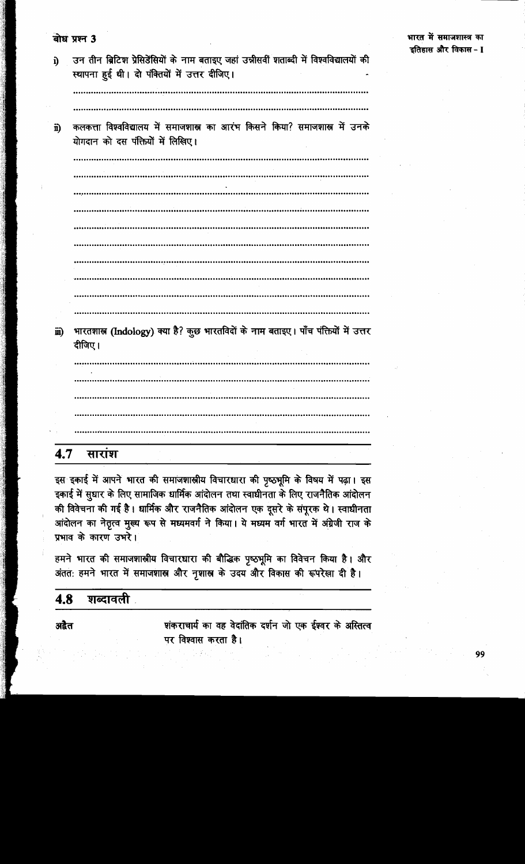| i)   | उन तीन ब्रिटिश प्रेसिडेंसियों के नाम बताइए जहां उन्नीसवीं शताब्दी में विश्वविद्यालयों की<br>स्थापना हुई थी। दो पंक्तियों में उत्तर दीजिए।<br> |
|------|-----------------------------------------------------------------------------------------------------------------------------------------------|
| ii)  | कलकत्ता विश्वविद्यालय में समाजशास्त्र का आरंभ किसने किया? समाजशास्त्र में उनके<br>योगदान को दस पंक्तियों में लिखिए।<br>                       |
|      |                                                                                                                                               |
|      |                                                                                                                                               |
|      |                                                                                                                                               |
| iii) | भारतशास्त्र (Indology) क्या है? कुछ भारतविदों के नाम बताइए। पाँच पंक्तियों में उत्तर<br>दीजिए।                                                |
|      |                                                                                                                                               |
|      |                                                                                                                                               |
|      |                                                                                                                                               |
|      |                                                                                                                                               |

सारांश 4.7

बोध प्रश्न 3

इस इकाई में आपने भारत की समाजशास्त्रीय विचारधारा की पृष्ठभूमि के विषय में पढ़ा। इस इकाई में सुधार के लिए सामाजिक धार्मिक आंदोलन तथा स्वाधीनता के लिए राजनैतिक आंदोलन की विवेचना की गई है। धार्मिक और राजनैतिक आंदोलन एक दूसरे के संपूरक थे। स्वाधीनता आंदोलन का नेतृत्व मुख्य रूप से मध्यमवर्ग ने किया। ये मध्यम वर्ग भारत में अंग्रेजी राज के प्रभाव के कारण उभरे।

हमने भारत की समाजशास्त्रीय विचारधारा की बौद्धिक पृष्ठभूमि का विवेचन किया है। और अंतत: हमने भारत में समाजशास्त्र और नृशास्त्र के उदय और विकास की रूपरेखा दी है।

### शब्दावली 4.8

अद्वैत

शंकराचार्य का वह वेदांतिक दर्शन जो एक ईश्वर के अस्तित्व पर विश्वास करता है।

भारत में समाजशास्त्र का

इतिहास और विकास - I